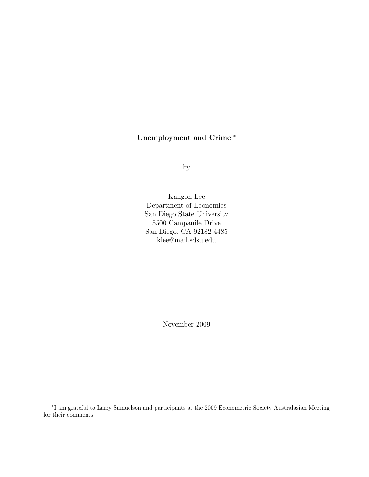# Unemployment and Crime <sup>∗</sup>

by

Kangoh Lee Department of Economics San Diego State University 5500 Campanile Drive San Diego, CA 92182-4485 klee@mail.sdsu.edu

November 2009

<sup>∗</sup> I am grateful to Larry Samuelson and participants at the 2009 Econometric Society Australasian Meeting for their comments.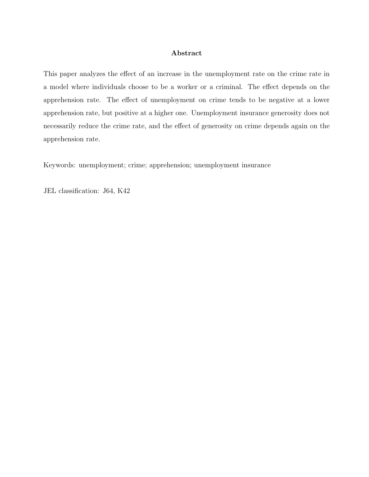## Abstract

This paper analyzes the effect of an increase in the unemployment rate on the crime rate in a model where individuals choose to be a worker or a criminal. The effect depends on the apprehension rate. The effect of unemployment on crime tends to be negative at a lower apprehension rate, but positive at a higher one. Unemployment insurance generosity does not necessarily reduce the crime rate, and the effect of generosity on crime depends again on the apprehension rate.

Keywords: unemployment; crime; apprehension; unemployment insurance

JEL classification: J64, K42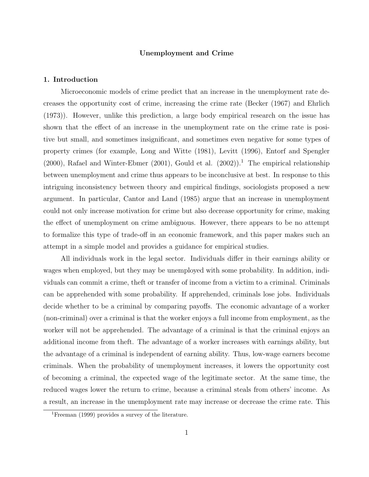## Unemployment and Crime

#### 1. Introduction

Microeconomic models of crime predict that an increase in the unemployment rate decreases the opportunity cost of crime, increasing the crime rate (Becker (1967) and Ehrlich (1973)). However, unlike this prediction, a large body empirical research on the issue has shown that the effect of an increase in the unemployment rate on the crime rate is positive but small, and sometimes insignificant, and sometimes even negative for some types of property crimes (for example, Long and Witte (1981), Levitt (1996), Entorf and Spengler (2000), Rafael and Winter-Ebmer (2001), Gould et al.  $(2002)$ ).<sup>1</sup> The empirical relationship between unemployment and crime thus appears to be inconclusive at best. In response to this intriguing inconsistency between theory and empirical findings, sociologists proposed a new argument. In particular, Cantor and Land (1985) argue that an increase in unemployment could not only increase motivation for crime but also decrease opportunity for crime, making the effect of unemployment on crime ambiguous. However, there appears to be no attempt to formalize this type of trade-off in an economic framework, and this paper makes such an attempt in a simple model and provides a guidance for empirical studies.

All individuals work in the legal sector. Individuals differ in their earnings ability or wages when employed, but they may be unemployed with some probability. In addition, individuals can commit a crime, theft or transfer of income from a victim to a criminal. Criminals can be apprehended with some probability. If apprehended, criminals lose jobs. Individuals decide whether to be a criminal by comparing payoffs. The economic advantage of a worker (non-criminal) over a criminal is that the worker enjoys a full income from employment, as the worker will not be apprehended. The advantage of a criminal is that the criminal enjoys an additional income from theft. The advantage of a worker increases with earnings ability, but the advantage of a criminal is independent of earning ability. Thus, low-wage earners become criminals. When the probability of unemployment increases, it lowers the opportunity cost of becoming a criminal, the expected wage of the legitimate sector. At the same time, the reduced wages lower the return to crime, because a criminal steals from others' income. As a result, an increase in the unemployment rate may increase or decrease the crime rate. This

<sup>1</sup>Freeman (1999) provides a survey of the literature.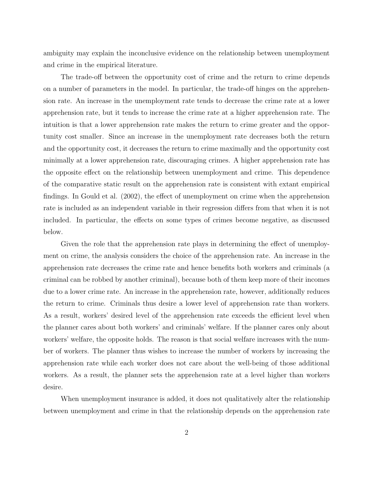ambiguity may explain the inconclusive evidence on the relationship between unemployment and crime in the empirical literature.

The trade-off between the opportunity cost of crime and the return to crime depends on a number of parameters in the model. In particular, the trade-off hinges on the apprehension rate. An increase in the unemployment rate tends to decrease the crime rate at a lower apprehension rate, but it tends to increase the crime rate at a higher apprehension rate. The intuition is that a lower apprehension rate makes the return to crime greater and the opportunity cost smaller. Since an increase in the unemployment rate decreases both the return and the opportunity cost, it decreases the return to crime maximally and the opportunity cost minimally at a lower apprehension rate, discouraging crimes. A higher apprehension rate has the opposite effect on the relationship between unemployment and crime. This dependence of the comparative static result on the apprehension rate is consistent with extant empirical findings. In Gould et al. (2002), the effect of unemployment on crime when the apprehension rate is included as an independent variable in their regression differs from that when it is not included. In particular, the effects on some types of crimes become negative, as discussed below.

Given the role that the apprehension rate plays in determining the effect of unemployment on crime, the analysis considers the choice of the apprehension rate. An increase in the apprehension rate decreases the crime rate and hence benefits both workers and criminals (a criminal can be robbed by another criminal), because both of them keep more of their incomes due to a lower crime rate. An increase in the apprehension rate, however, additionally reduces the return to crime. Criminals thus desire a lower level of apprehension rate than workers. As a result, workers' desired level of the apprehension rate exceeds the efficient level when the planner cares about both workers' and criminals' welfare. If the planner cares only about workers' welfare, the opposite holds. The reason is that social welfare increases with the number of workers. The planner thus wishes to increase the number of workers by increasing the apprehension rate while each worker does not care about the well-being of those additional workers. As a result, the planner sets the apprehension rate at a level higher than workers desire.

When unemployment insurance is added, it does not qualitatively alter the relationship between unemployment and crime in that the relationship depends on the apprehension rate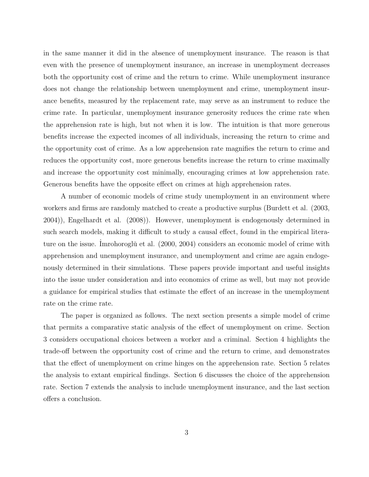in the same manner it did in the absence of unemployment insurance. The reason is that even with the presence of unemployment insurance, an increase in unemployment decreases both the opportunity cost of crime and the return to crime. While unemployment insurance does not change the relationship between unemployment and crime, unemployment insurance benefits, measured by the replacement rate, may serve as an instrument to reduce the crime rate. In particular, unemployment insurance generosity reduces the crime rate when the apprehension rate is high, but not when it is low. The intuition is that more generous benefits increase the expected incomes of all individuals, increasing the return to crime and the opportunity cost of crime. As a low apprehension rate magnifies the return to crime and reduces the opportunity cost, more generous benefits increase the return to crime maximally and increase the opportunity cost minimally, encouraging crimes at low apprehension rate. Generous benefits have the opposite effect on crimes at high apprehension rates.

A number of economic models of crime study unemployment in an environment where workers and firms are randomly matched to create a productive surplus (Burdett et al. (2003, 2004)), Engelhardt et al. (2008)). However, unemployment is endogenously determined in such search models, making it difficult to study a causal effect, found in the empirical literature on the issue. Imrohoroglue et al.  $(2000, 2004)$  considers an economic model of crime with apprehension and unemployment insurance, and unemployment and crime are again endogenously determined in their simulations. These papers provide important and useful insights into the issue under consideration and into economics of crime as well, but may not provide a guidance for empirical studies that estimate the effect of an increase in the unemployment rate on the crime rate.

The paper is organized as follows. The next section presents a simple model of crime that permits a comparative static analysis of the effect of unemployment on crime. Section 3 considers occupational choices between a worker and a criminal. Section 4 highlights the trade-off between the opportunity cost of crime and the return to crime, and demonstrates that the effect of unemployment on crime hinges on the apprehension rate. Section 5 relates the analysis to extant empirical findings. Section 6 discusses the choice of the apprehension rate. Section 7 extends the analysis to include unemployment insurance, and the last section offers a conclusion.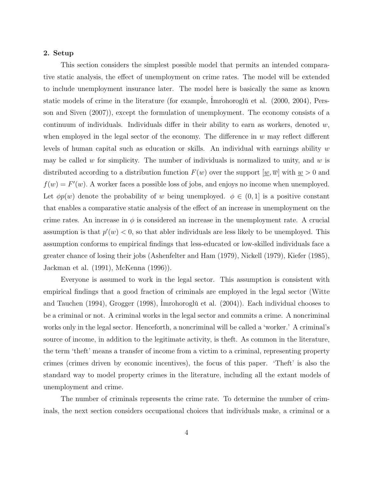#### 2. Setup

This section considers the simplest possible model that permits an intended comparative static analysis, the effect of unemployment on crime rates. The model will be extended to include unemployment insurance later. The model here is basically the same as known static models of crime in the literature (for example, Imrohoroglŭ et al. (2000, 2004), Persson and Siven (2007)), except the formulation of unemployment. The economy consists of a continuum of individuals. Individuals differ in their ability to earn as workers, denoted  $w$ , when employed in the legal sector of the economy. The difference in  $w$  may reflect different levels of human capital such as education or skills. An individual with earnings ability w may be called w for simplicity. The number of individuals is normalized to unity, and w is distributed according to a distribution function  $F(w)$  over the support  $[w, \overline{w}]$  with  $w > 0$  and  $f(w) = F'(w)$ . A worker faces a possible loss of jobs, and enjoys no income when unemployed. Let  $\phi p(w)$  denote the probability of w being unemployed.  $\phi \in (0,1]$  is a positive constant that enables a comparative static analysis of the effect of an increase in unemployment on the crime rates. An increase in  $\phi$  is considered an increase in the unemployment rate. A crucial assumption is that  $p'(w) < 0$ , so that abler individuals are less likely to be unemployed. This assumption conforms to empirical findings that less-educated or low-skilled individuals face a greater chance of losing their jobs (Ashenfelter and Ham (1979), Nickell (1979), Kiefer (1985), Jackman et al. (1991), McKenna (1996)).

Everyone is assumed to work in the legal sector. This assumption is consistent with empirical findings that a good fraction of criminals are employed in the legal sector (Witte and Tauchen (1994), Grogger (1998), Imrohoroglŭ et al. (2004)). Each individual chooses to be a criminal or not. A criminal works in the legal sector and commits a crime. A noncriminal works only in the legal sector. Henceforth, a noncriminal will be called a 'worker.' A criminal's source of income, in addition to the legitimate activity, is theft. As common in the literature, the term 'theft' means a transfer of income from a victim to a criminal, representing property crimes (crimes driven by economic incentives), the focus of this paper. 'Theft' is also the standard way to model property crimes in the literature, including all the extant models of unemployment and crime.

The number of criminals represents the crime rate. To determine the number of criminals, the next section considers occupational choices that individuals make, a criminal or a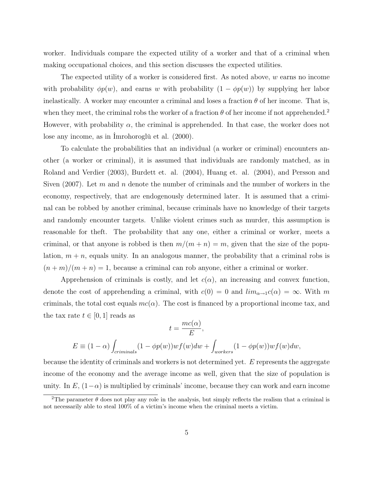worker. Individuals compare the expected utility of a worker and that of a criminal when making occupational choices, and this section discusses the expected utilities.

The expected utility of a worker is considered first. As noted above,  $w$  earns no income with probability  $\phi p(w)$ , and earns w with probability  $(1 - \phi p(w))$  by supplying her labor inelastically. A worker may encounter a criminal and loses a fraction  $\theta$  of her income. That is, when they meet, the criminal robs the worker of a fraction  $\theta$  of her income if not apprehended.<sup>2</sup> However, with probability  $\alpha$ , the criminal is apprehended. In that case, the worker does not lose any income, as in Imrohoroglŭ et al. (2000).

To calculate the probabilities that an individual (a worker or criminal) encounters another (a worker or criminal), it is assumed that individuals are randomly matched, as in Roland and Verdier (2003), Burdett et. al. (2004), Huang et. al. (2004), and Persson and Siven (2007). Let m and n denote the number of criminals and the number of workers in the economy, respectively, that are endogenously determined later. It is assumed that a criminal can be robbed by another criminal, because criminals have no knowledge of their targets and randomly encounter targets. Unlike violent crimes such as murder, this assumption is reasonable for theft. The probability that any one, either a criminal or worker, meets a criminal, or that anyone is robbed is then  $m/(m + n) = m$ , given that the size of the population,  $m + n$ , equals unity. In an analogous manner, the probability that a criminal robs is  $(n+m)/(m+n) = 1$ , because a criminal can rob anyone, either a criminal or worker.

Apprehension of criminals is costly, and let  $c(\alpha)$ , an increasing and convex function, denote the cost of apprehending a criminal, with  $c(0) = 0$  and  $\lim_{\alpha \to 1} c(\alpha) = \infty$ . With m criminals, the total cost equals  $mc(\alpha)$ . The cost is financed by a proportional income tax, and the tax rate  $t \in [0, 1]$  reads as

$$
t = \frac{mc(\alpha)}{E},
$$
  

$$
E \equiv (1 - \alpha) \int_{criminals} (1 - \phi p(w)) w f(w) dw + \int_{workers} (1 - \phi p(w)) w f(w) dw,
$$

because the identity of criminals and workers is not determined yet. E represents the aggregate income of the economy and the average income as well, given that the size of population is unity. In  $E$ ,  $(1-\alpha)$  is multiplied by criminals' income, because they can work and earn income

<sup>&</sup>lt;sup>2</sup>The parameter  $\theta$  does not play any role in the analysis, but simply reflects the realism that a criminal is not necessarily able to steal 100% of a victim's income when the criminal meets a victim.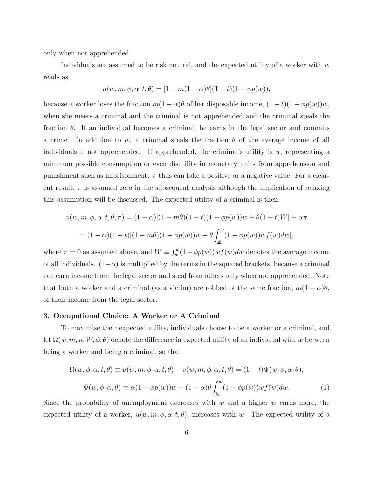only when not apprehended.

Individuals are assumed to be risk neutral, and the expected utility of a worker with  $w$ reads as

$$
u(w, m, \phi, \alpha, t, \theta) = [1 - m(1 - \alpha)\theta](1 - t)(1 - \phi p(w)),
$$

because a worker loses the fraction  $m(1 - \alpha)\theta$  of her disposable income,  $(1 - t)(1 - \phi p(w))w$ , when she meets a criminal and the criminal is not apprehended and the criminal steals the fraction  $\theta$ . If an individual becomes a criminal, he earns in the legal sector and commits a crime. In addition to w, a criminal steals the fraction  $\theta$  of the average income of all individuals if not apprehended. If apprehended, the criminal's utility is  $\pi$ , representing a minimum possible consumption or even disutility in monetary units from apprehension and punishment such as imprisonment.  $\pi$  thus can take a positive or a negative value. For a clearcut result,  $\pi$  is assumed zero in the subsequent analysis although the implication of relaxing this assumption will be discussed. The expected utility of a criminal is then

$$
v(w, m, \phi, \alpha, t, \theta, \pi) = (1 - \alpha)[(1 - m\theta)(1 - t)(1 - \phi p(w))w + \theta(1 - t)W] + \alpha\pi
$$
  
=  $(1 - \alpha)(1 - t)[(1 - m\theta)(1 - \phi p(w))w + \theta \int_{\underline{w}}^{\overline{w}} (1 - \phi p(w))w f(w)dw],$ 

where  $\pi = 0$  as assumed above, and  $W \equiv \int_{w}^{\overline{w}} (1 - \phi p(w)) w f(w) dw$  denotes the average income of all individuals.  $(1-\alpha)$  is multiplied by the terms in the squared brackets, because a criminal can earn income from the legal sector and steal from others only when not apprehended. Note that both a worker and a criminal (as a victim) are robbed of the same fraction,  $m(1-\alpha)\theta$ , of their income from the legal sector.

## 3. Occupational Choice: A Worker or A Criminal

To maximize their expected utility, individuals choose to be a worker or a criminal, and let  $\Omega(w, m, n, W, \phi, \theta)$  denote the difference in expected utility of an individual with w between being a worker and being a criminal, so that

$$
\Omega(w, \phi, \alpha, t, \theta) \equiv u(w, m, \phi, \alpha, t, \theta) - v(w, m, \phi, \alpha, t, \theta) = (1 - t)\Psi(w, \phi, \alpha, \theta),
$$
  

$$
\Psi(w, \phi, \alpha, \theta) \equiv \alpha(1 - \phi p(w))w - (1 - \alpha)\theta \int_{\underline{w}}^{\overline{w}} (1 - \phi p(w))wf(w)dw.
$$
 (1)

Since the probability of unemployment decreases with  $w$  and a higher  $w$  earns more, the expected utility of a worker,  $u(w, m, \phi, \alpha, t, \theta)$ , increases with w. The expected utility of a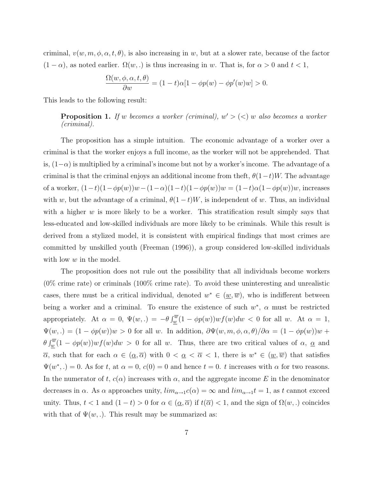criminal,  $v(w, m, \phi, \alpha, t, \theta)$ , is also increasing in w, but at a slower rate, because of the factor  $(1 - \alpha)$ , as noted earlier.  $\Omega(w,.)$  is thus increasing in w. That is, for  $\alpha > 0$  and  $t < 1$ ,

$$
\frac{\Omega(w,\phi,\alpha,t,\theta)}{\partial w} = (1-t)\alpha[1-\phi p(w) - \phi p'(w)w] > 0.
$$

This leads to the following result:

**Proposition 1.** If w becomes a worker (criminal),  $w' > (<) w$  also becomes a worker (criminal).

The proposition has a simple intuition. The economic advantage of a worker over a criminal is that the worker enjoys a full income, as the worker will not be apprehended. That is,  $(1-\alpha)$  is multiplied by a criminal's income but not by a worker's income. The advantage of a criminal is that the criminal enjoys an additional income from the ft,  $\theta(1-t)W$ . The advantage of a worker,  $(1-t)(1-\phi p(w))w-(1-\alpha)(1-t)(1-\phi p(w))w=(1-t)\alpha(1-\phi p(w))w$ , increases with w, but the advantage of a criminal,  $\theta(1-t)W$ , is independent of w. Thus, an individual with a higher  $w$  is more likely to be a worker. This stratification result simply says that less-educated and low-skilled individuals are more likely to be criminals. While this result is derived from a stylized model, it is consistent with empirical findings that most crimes are committed by unskilled youth (Freeman (1996)), a group considered low-skilled individuals with low  $w$  in the model.

The proposition does not rule out the possibility that all individuals become workers (0% crime rate) or criminals (100% crime rate). To avoid these uninteresting and unrealistic cases, there must be a critical individual, denoted  $w^* \in (\underline{w}, \overline{w})$ , who is indifferent between being a worker and a criminal. To ensure the existence of such  $w^*$ ,  $\alpha$  must be restricted appropriately. At  $\alpha = 0$ ,  $\Psi(w,.) = -\theta \int_w^{\overline{w}} (1 - \phi p(w)) w f(w) dw < 0$  for all w. At  $\alpha = 1$ ,  $\Psi(w,.) = (1 - \phi p(w))w > 0$  for all w. In addition,  $\partial \Psi(w, m, \phi, \alpha, \theta)/\partial \alpha = (1 - \phi p(w))w +$  $\theta \int_{\underline{w}}^{\overline{w}} (1 - \phi p(w)) w f(w) dw > 0$  for all w. Thus, there are two critical values of  $\alpha$ ,  $\underline{\alpha}$  and  $\overline{\alpha}$ , such that for each  $\alpha \in (\alpha, \overline{\alpha})$  with  $0 < \alpha < \overline{\alpha} < 1$ , there is  $w^* \in (\underline{w}, \overline{w})$  that satisfies  $\Psi(w^*,.) = 0$ . As for t, at  $\alpha = 0$ ,  $c(0) = 0$  and hence  $t = 0$ . t increases with  $\alpha$  for two reasons. In the numerator of t,  $c(\alpha)$  increases with  $\alpha$ , and the aggregate income E in the denominator decreases in  $\alpha$ . As  $\alpha$  approaches unity,  $\lim_{\alpha \to 1} c(\alpha) = \infty$  and  $\lim_{\alpha \to 1} t = 1$ , as t cannot exceed unity. Thus,  $t < 1$  and  $(1-t) > 0$  for  $\alpha \in (\underline{\alpha}, \overline{\alpha})$  if  $t(\overline{\alpha}) < 1$ , and the sign of  $\Omega(w,.)$  coincides with that of  $\Psi(w, .)$ . This result may be summarized as: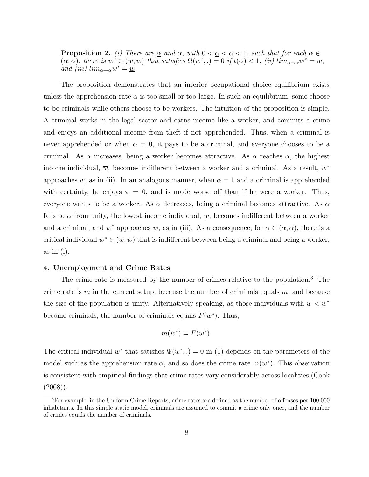**Proposition 2.** (i) There are <u> $\alpha$ </u> and  $\overline{\alpha}$ , with  $0 < \underline{\alpha} < \overline{\alpha} < 1$ , such that for each  $\alpha \in \mathbb{R}$  $(\underline{\alpha}, \overline{\alpha})$ , there is  $w^* \in (\underline{w}, \overline{w})$  that satisfies  $\Omega(w^*, \cdot) = 0$  if  $t(\overline{\alpha}) < 1$ , (ii)  $\lim_{\alpha \to \alpha} w^* = \overline{w}$ , and (iii)  $lim_{\alpha \to \overline{\alpha}} w^* = \underline{w}$ .

The proposition demonstrates that an interior occupational choice equilibrium exists unless the apprehension rate  $\alpha$  is too small or too large. In such an equilibrium, some choose to be criminals while others choose to be workers. The intuition of the proposition is simple. A criminal works in the legal sector and earns income like a worker, and commits a crime and enjoys an additional income from theft if not apprehended. Thus, when a criminal is never apprehended or when  $\alpha = 0$ , it pays to be a criminal, and everyone chooses to be a criminal. As  $\alpha$  increases, being a worker becomes attractive. As  $\alpha$  reaches  $\alpha$ , the highest income individual,  $\overline{w}$ , becomes indifferent between a worker and a criminal. As a result,  $w^*$ approaches  $\overline{w}$ , as in (ii). In an analogous manner, when  $\alpha = 1$  and a criminal is apprehended with certainty, he enjoys  $\pi = 0$ , and is made worse off than if he were a worker. Thus, everyone wants to be a worker. As  $\alpha$  decreases, being a criminal becomes attractive. As  $\alpha$ falls to  $\bar{\alpha}$  from unity, the lowest income individual, w, becomes indifferent between a worker and a criminal, and w<sup>\*</sup> approaches <u>w</u>, as in (iii). As a consequence, for  $\alpha \in (\alpha, \overline{\alpha})$ , there is a critical individual  $w^* \in (\underline{w}, \overline{w})$  that is indifferent between being a criminal and being a worker, as in (i).

## 4. Unemployment and Crime Rates

The crime rate is measured by the number of crimes relative to the population.<sup>3</sup> The crime rate is  $m$  in the current setup, because the number of criminals equals  $m$ , and because the size of the population is unity. Alternatively speaking, as those individuals with  $w < w^*$ become criminals, the number of criminals equals  $F(w^*)$ . Thus,

$$
m(w^*) = F(w^*).
$$

The critical individual w<sup>\*</sup> that satisfies  $\Psi(w^*,.) = 0$  in (1) depends on the parameters of the model such as the apprehension rate  $\alpha$ , and so does the crime rate  $m(w^*)$ . This observation is consistent with empirical findings that crime rates vary considerably across localities (Cook  $(2008)$ ).

<sup>&</sup>lt;sup>3</sup>For example, in the Uniform Crime Reports, crime rates are defined as the number of offenses per 100,000 inhabitants. In this simple static model, criminals are assumed to commit a crime only once, and the number of crimes equals the number of criminals.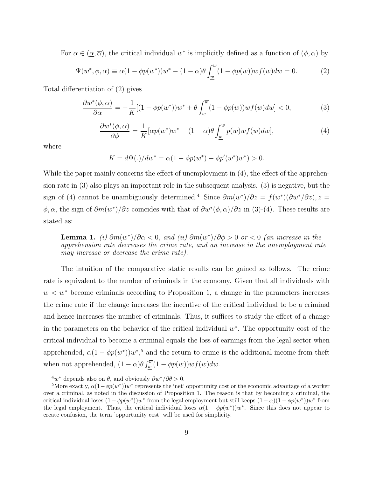For  $\alpha \in (\alpha, \overline{\alpha})$ , the critical individual w<sup>\*</sup> is implicitly defined as a function of  $(\phi, \alpha)$  by

$$
\Psi(w^*, \phi, \alpha) \equiv \alpha (1 - \phi p(w^*))w^* - (1 - \alpha)\theta \int_{\underline{w}}^{\overline{w}} (1 - \phi p(w)) w f(w) dw = 0.
$$
 (2)

Total differentiation of (2) gives

$$
\frac{\partial w^*(\phi,\alpha)}{\partial \alpha} = -\frac{1}{K} [(1 - \phi p(w^*))w^* + \theta \int_{\underline{w}}^{\overline{w}} (1 - \phi p(w))w f(w) dw] < 0,
$$
\n(3)

$$
\frac{\partial w^*(\phi,\alpha)}{\partial \phi} = \frac{1}{K} [\alpha p(w^*)w^* - (1-\alpha)\theta \int_{\underline{w}}^{\overline{w}} p(w)wf(w)dw],\tag{4}
$$

where

$$
K = d\Psi(.)/dw^* = \alpha(1 - \phi p(w^*) - \phi p'(w^*)w^*) > 0.
$$

While the paper mainly concerns the effect of unemployment in  $(4)$ , the effect of the apprehension rate in (3) also plays an important role in the subsequent analysis. (3) is negative, but the sign of (4) cannot be unambiguously determined.<sup>4</sup> Since  $\partial m(w^*)/\partial z = f(w^*)(\partial w^*/\partial z)$ , z =  $\phi, \alpha$ , the sign of  $\partial m(w^*)/\partial z$  coincides with that of  $\partial w^*(\phi, \alpha)/\partial z$  in (3)-(4). These results are stated as:

**Lemma 1.** (i)  $\partial m(w^*)/\partial \alpha < 0$ , and (ii)  $\partial m(w^*)/\partial \phi > 0$  or  $< 0$  (an increase in the apprehension rate decreases the crime rate, and an increase in the unemployment rate may increase or decrease the crime rate).

The intuition of the comparative static results can be gained as follows. The crime rate is equivalent to the number of criminals in the economy. Given that all individuals with  $w < w^*$  become criminals according to Proposition 1, a change in the parameters increases the crime rate if the change increases the incentive of the critical individual to be a criminal and hence increases the number of criminals. Thus, it suffices to study the effect of a change in the parameters on the behavior of the critical individual  $w^*$ . The opportunity cost of the critical individual to become a criminal equals the loss of earnings from the legal sector when apprehended,  $\alpha(1 - \phi p(w^*))w^*$ ,<sup>5</sup> and the return to crime is the additional income from theft when not apprehended,  $(1 - \alpha)\theta \int_w^{\overline{w}} (1 - \phi p(w)) w f(w) dw$ .

<sup>&</sup>lt;sup>4</sup>*w*<sup>∗</sup> depends also on  $\theta$ , and obviously  $\partial w^* / \partial \theta > 0$ .

<sup>&</sup>lt;sup>5</sup>More exactly,  $\alpha(1-\phi p(w^*))w^*$  represents the 'net' opportunity cost or the economic advantage of a worker over a criminal, as noted in the discussion of Proposition 1. The reason is that by becoming a criminal, the critical individual loses  $(1 - \phi p(w^*))w^*$  from the legal employment but still keeps  $(1 - \alpha)(1 - \phi p(w^*))w^*$  from the legal employment. Thus, the critical individual loses  $\alpha(1 - \phi p(w^*))w^*$ . Since this does not appear to create confusion, the term 'opportunity cost' will be used for simplicity.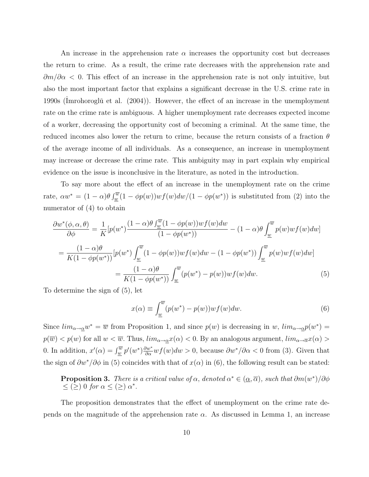An increase in the apprehension rate  $\alpha$  increases the opportunity cost but decreases the return to crime. As a result, the crime rate decreases with the apprehension rate and  $\partial m/\partial \alpha$  < 0. This effect of an increase in the apprehension rate is not only intuitive, but also the most important factor that explains a significant decrease in the U.S. crime rate in 1990s (Imrohorogl $\check{u}$  et al. (2004)). However, the effect of an increase in the unemployment rate on the crime rate is ambiguous. A higher unemployment rate decreases expected income of a worker, decreasing the opportunity cost of becoming a criminal. At the same time, the reduced incomes also lower the return to crime, because the return consists of a fraction  $\theta$ of the average income of all individuals. As a consequence, an increase in unemployment may increase or decrease the crime rate. This ambiguity may in part explain why empirical evidence on the issue is inconclusive in the literature, as noted in the introduction.

To say more about the effect of an increase in the unemployment rate on the crime rate,  $\alpha w^* = (1 - \alpha) \theta \int_w^{\overline{w}} (1 - \phi p(w)) w f(w) dw / (1 - \phi p(w^*))$  is substituted from (2) into the numerator of (4) to obtain

$$
\frac{\partial w^*(\phi, \alpha, \theta)}{\partial \phi} = \frac{1}{K} [p(w^*) \frac{(1-\alpha)\theta \int_{\underline{w}}^{\overline{w}} (1-\phi p(w)) w f(w) dw}{(1-\phi p(w^*))} - (1-\alpha)\theta \int_{\underline{w}}^{\overline{w}} p(w) w f(w) dw]
$$

$$
= \frac{(1-\alpha)\theta}{K(1-\phi p(w^*))} [p(w^*) \int_{\underline{w}}^{\overline{w}} (1-\phi p(w)) w f(w) dw - (1-\phi p(w^*)) \int_{\underline{w}}^{\overline{w}} p(w) w f(w) dw]
$$

$$
= \frac{(1-\alpha)\theta}{K(1-\phi p(w^*))} \int_{\underline{w}}^{\overline{w}} (p(w^*) - p(w)) w f(w) dw. \tag{5}
$$

To determine the sign of (5), let

$$
x(\alpha) \equiv \int_{\underline{w}}^{\overline{w}} (p(w^*) - p(w)) w f(w) dw.
$$
 (6)

Since  $\lim_{\alpha \to \alpha} w^* = \overline{w}$  from Proposition 1, and since  $p(w)$  is decreasing in w,  $\lim_{\alpha \to \alpha} p(w^*) =$  $p(\overline{w}) < p(w)$  for all  $w < \overline{w}$ . Thus,  $\lim_{\alpha \to \alpha} x(\alpha) < 0$ . By an analogous argument,  $\lim_{\alpha \to \overline{\alpha}} x(\alpha) >$ 0. In addition,  $x'(\alpha) = \int_{\underline{w}}^{\overline{w}} p'(w^*) \frac{\partial w^*}{\partial \alpha} wf(w)dw > 0$ , because  $\partial w^*/\partial \alpha < 0$  from (3). Given that the sign of  $\partial w^*/\partial \phi$  in (5) coincides with that of  $x(\alpha)$  in (6), the following result can be stated:

**Proposition 3.** There is a critical value of  $\alpha$ , denoted  $\alpha^* \in (\underline{\alpha}, \overline{\alpha})$ , such that  $\partial m(w^*)/\partial \phi$  $\leq$  (2) 0 for  $\alpha \leq$  (2)  $\alpha^*$ .

The proposition demonstrates that the effect of unemployment on the crime rate depends on the magnitude of the apprehension rate  $\alpha$ . As discussed in Lemma 1, an increase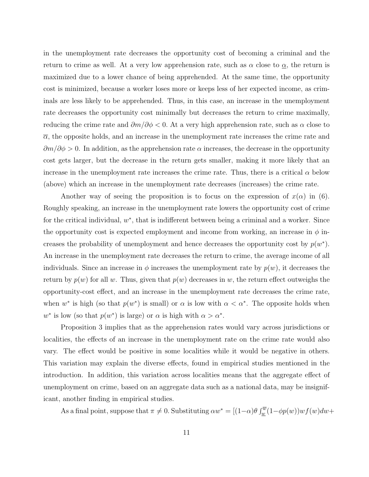in the unemployment rate decreases the opportunity cost of becoming a criminal and the return to crime as well. At a very low apprehension rate, such as  $\alpha$  close to  $\underline{\alpha}$ , the return is maximized due to a lower chance of being apprehended. At the same time, the opportunity cost is minimized, because a worker loses more or keeps less of her expected income, as criminals are less likely to be apprehended. Thus, in this case, an increase in the unemployment rate decreases the opportunity cost minimally but decreases the return to crime maximally, reducing the crime rate and  $\partial m/\partial \phi < 0$ . At a very high apprehension rate, such as  $\alpha$  close to  $\overline{\alpha}$ , the opposite holds, and an increase in the unemployment rate increases the crime rate and  $\partial m/\partial \phi > 0$ . In addition, as the apprehension rate  $\alpha$  increases, the decrease in the opportunity cost gets larger, but the decrease in the return gets smaller, making it more likely that an increase in the unemployment rate increases the crime rate. Thus, there is a critical  $\alpha$  below (above) which an increase in the unemployment rate decreases (increases) the crime rate.

Another way of seeing the proposition is to focus on the expression of  $x(\alpha)$  in (6). Roughly speaking, an increase in the unemployment rate lowers the opportunity cost of crime for the critical individual,  $w^*$ , that is indifferent between being a criminal and a worker. Since the opportunity cost is expected employment and income from working, an increase in  $\phi$  increases the probability of unemployment and hence decreases the opportunity cost by  $p(w^*)$ . An increase in the unemployment rate decreases the return to crime, the average income of all individuals. Since an increase in  $\phi$  increases the unemployment rate by  $p(w)$ , it decreases the return by  $p(w)$  for all w. Thus, given that  $p(w)$  decreases in w, the return effect outweighs the opportunity-cost effect, and an increase in the unemployment rate decreases the crime rate, when  $w^*$  is high (so that  $p(w^*)$  is small) or  $\alpha$  is low with  $\alpha < \alpha^*$ . The opposite holds when w<sup>\*</sup> is low (so that  $p(w^*)$  is large) or  $\alpha$  is high with  $\alpha > \alpha^*$ .

Proposition 3 implies that as the apprehension rates would vary across jurisdictions or localities, the effects of an increase in the unemployment rate on the crime rate would also vary. The effect would be positive in some localities while it would be negative in others. This variation may explain the diverse effects, found in empirical studies mentioned in the introduction. In addition, this variation across localities means that the aggregate effect of unemployment on crime, based on an aggregate data such as a national data, may be insignificant, another finding in empirical studies.

As a final point, suppose that  $\pi \neq 0$ . Substituting  $\alpha w^* = [(1-\alpha)\theta \int_{\underline{w}}^{\overline{w}} (1-\phi p(w))w f(w) dw +$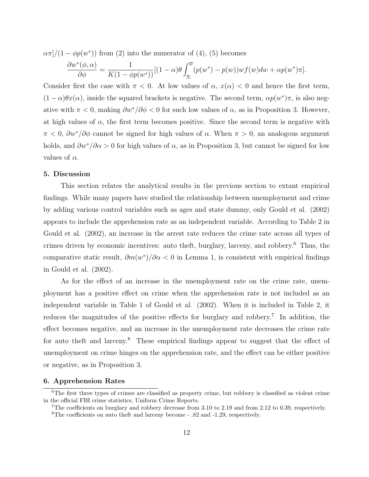$\alpha \pi$ / $(1 - \phi p(w^*))$  from (2) into the numerator of (4), (5) becomes

$$
\frac{\partial w^*(\phi,\alpha)}{\partial \phi} = \frac{1}{K(1-\phi p(w^*))} [(1-\alpha)\theta \int_{\underline{w}}^{\overline{w}} (p(w^*) - p(w))w f(w) dw + \alpha p(w^*)\pi].
$$

Consider first the case with  $\pi < 0$ . At low values of  $\alpha$ ,  $x(\alpha) < 0$  and hence the first term,  $(1-\alpha)\theta x(\alpha)$ , inside the squared brackets is negative. The second term,  $\alpha p(w^*)\pi$ , is also negative with  $\pi < 0$ , making  $\partial w^* / \partial \phi < 0$  for such low values of  $\alpha$ , as in Proposition 3. However, at high values of  $\alpha$ , the first term becomes positive. Since the second term is negative with  $\pi < 0$ ,  $\partial w^*/\partial \phi$  cannot be signed for high values of  $\alpha$ . When  $\pi > 0$ , an analogous argument holds, and  $\partial w^*/\partial \alpha > 0$  for high values of  $\alpha$ , as in Proposition 3, but cannot be signed for low values of  $\alpha$ .

#### 5. Discussion

This section relates the analytical results in the previous section to extant empirical findings. While many papers have studied the relationship between unemployment and crime by adding various control variables such as ages and state dummy, only Gould et al. (2002) appears to include the apprehension rate as an independent variable. According to Table 2 in Gould et al. (2002), an increase in the arrest rate reduces the crime rate across all types of crimes driven by economic incentives: auto theft, burglary, larceny, and robbery.<sup>6</sup> Thus, the comparative static result,  $\partial m(w^*)/\partial \alpha < 0$  in Lemma 1, is consistent with empirical findings in Gould et al. (2002).

As for the effect of an increase in the unemployment rate on the crime rate, unemployment has a positive effect on crime when the apprehension rate is not included as an independent variable in Table 1 of Gould et al. (2002). When it is included in Table 2, it reduces the magnitudes of the positive effects for burglary and robbery.<sup>7</sup> In addition, the effect becomes negative, and an increase in the unemployment rate decreases the crime rate for auto theft and larceny.<sup>8</sup> These empirical findings appear to suggest that the effect of unemployment on crime hinges on the apprehension rate, and the effect can be either positive or negative, as in Proposition 3.

## 6. Apprehension Rates

<sup>&</sup>lt;sup>6</sup>The first three types of crimes are classified as property crime, but robbery is classified as violent crime in the official FBI crime statistics, Uniform Crime Reports.

<sup>&</sup>lt;sup>7</sup>The coefficients on burglary and robbery decrease from 3.10 to 2.19 and from 2.12 to 0.39, respectively. <sup>8</sup>The coefficients on auto theft and larceny become - .82 and -1.29, respectively.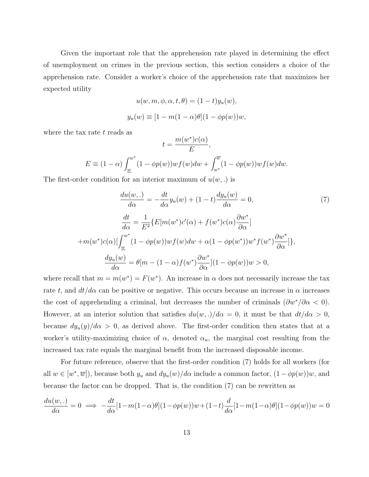Given the important role that the apprehension rate played in determining the effect of unemployment on crimes in the previous section, this section considers a choice of the apprehension rate. Consider a worker's choice of the apprehension rate that maximizes her expected utility

$$
u(w, m, \phi, \alpha, t, \theta) = (1 - t)y_u(w),
$$
  

$$
y_u(w) \equiv [1 - m(1 - \alpha)\theta](1 - \phi p(w))w,
$$

where the tax rate  $t$  reads as

$$
t = \frac{m(w^*)c(\alpha)}{E},
$$
  
\n
$$
E \equiv (1 - \alpha) \int_{\underline{w}}^{w^*} (1 - \phi p(w)) w f(w) dw + \int_{w^*}^{\overline{w}} (1 - \phi p(w)) w f(w) dw.
$$

The first-order condition for an interior maximum of  $u(w,.)$  is

$$
\frac{du(w,.)}{d\alpha} = -\frac{dt}{d\alpha}y_u(w) + (1-t)\frac{dy_u(w)}{d\alpha} = 0,
$$
\n(7)  
\n
$$
\frac{dt}{d\alpha} = \frac{1}{E^2} \{ E[m(w^*)c'(\alpha) + f(w^*)c(\alpha)\frac{\partial w^*}{\partial \alpha}]
$$
\n
$$
+m(w^*)c(\alpha) [\int_{\underline{w}}^{w^*} (1 - \phi p(w))wf(w)dw + \alpha(1 - \phi p(w^*))w^*f(w^*)\frac{\partial w^*}{\partial \alpha}] \},
$$
\n
$$
\frac{dy_u(w)}{d\alpha} = \theta[m - (1 - \alpha)f(w^*)\frac{\partial w^*}{\partial \alpha}](1 - \phi p(w))w > 0,
$$
\n(7)

where recall that  $m = m(w^*) = F(w^*)$ . An increase in  $\alpha$  does not necessarily increase the tax rate t, and  $dt/d\alpha$  can be positive or negative. This occurs because an increase in  $\alpha$  increases the cost of apprehending a criminal, but decreases the number of criminals  $(\partial w^*/\partial \alpha < 0)$ . However, at an interior solution that satisfies  $du(w,.)/d\alpha = 0$ , it must be that  $dt/d\alpha > 0$ , because  $dy_u(y)/d\alpha > 0$ , as derived above. The first-order condition then states that at a worker's utility-maximizing choice of  $\alpha$ , denoted  $\alpha_u$ , the marginal cost resulting from the increased tax rate equals the marginal benefit from the increased disposable income.

For future reference, observe that the first-order condition (7) holds for all workers (for all  $w \in [w^*, \overline{w}]$ , because both  $y_u$  and  $dy_u(w)/d\alpha$  include a common factor,  $(1 - \phi p(w))w$ , and because the factor can be dropped. That is, the condition (7) can be rewritten as

$$
\frac{du(w,.)}{d\alpha} = 0 \implies -\frac{dt}{d\alpha}[1 - m(1 - \alpha)\theta](1 - \phi p(w))w + (1 - t)\frac{d}{d\alpha}[1 - m(1 - \alpha)\theta](1 - \phi p(w))w = 0
$$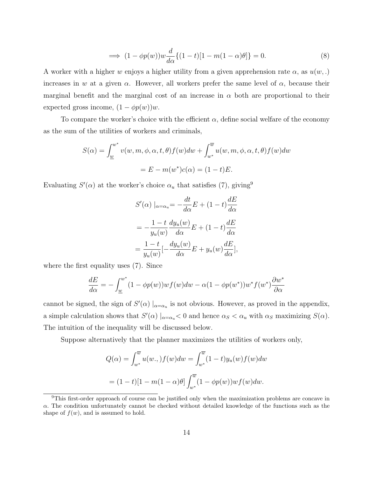$$
\implies (1 - \phi p(w))w \frac{d}{d\alpha} \{ (1 - t) [1 - m(1 - \alpha)\theta] \} = 0. \tag{8}
$$

A worker with a higher w enjoys a higher utility from a given apprehension rate  $\alpha$ , as  $u(w,.)$ increases in w at a given  $\alpha$ . However, all workers prefer the same level of  $\alpha$ , because their marginal benefit and the marginal cost of an increase in  $\alpha$  both are proportional to their expected gross income,  $(1 - \phi p(w))w$ .

To compare the worker's choice with the efficient  $\alpha$ , define social welfare of the economy as the sum of the utilities of workers and criminals,

$$
S(\alpha) = \int_{\underline{w}}^{w^*} v(w, m, \phi, \alpha, t, \theta) f(w) dw + \int_{w^*}^{\overline{w}} u(w, m, \phi, \alpha, t, \theta) f(w) dw
$$
  
=  $E - m(w^*)c(\alpha) = (1 - t)E$ .

Evaluating  $S'(\alpha)$  at the worker's choice  $\alpha_u$  that satisfies (7), giving<sup>9</sup>

$$
S'(\alpha) |_{\alpha = \alpha_u} = -\frac{dt}{d\alpha}E + (1 - t)\frac{dE}{d\alpha}
$$

$$
= -\frac{1 - t}{y_u(w)}\frac{dy_u(w)}{d\alpha}E + (1 - t)\frac{dE}{d\alpha}
$$

$$
= \frac{1 - t}{y_u(w)}[-\frac{dy_u(w)}{d\alpha}E + y_u(w)\frac{dE}{d\alpha}],
$$

where the first equality uses (7). Since

$$
\frac{dE}{d\alpha} = -\int_{\underline{w}}^{w^*} (1 - \phi p(w)) w f(w) dw - \alpha (1 - \phi p(w^*)) w^* f(w^*) \frac{\partial w^*}{\partial \alpha}
$$

cannot be signed, the sign of  $S'(\alpha) \mid_{\alpha=\alpha_u}$  is not obvious. However, as proved in the appendix, a simple calculation shows that  $S'(\alpha) \mid_{\alpha=\alpha_u} < 0$  and hence  $\alpha_S < \alpha_u$  with  $\alpha_S$  maximizing  $S(\alpha)$ . The intuition of the inequality will be discussed below.

Suppose alternatively that the planner maximizes the utilities of workers only,

$$
Q(\alpha) = \int_{w^*}^{\overline{w}} u(w,.) f(w) dw = \int_{w^*}^{\overline{w}} (1-t) y_u(w) f(w) dw
$$

$$
= (1-t)[1 - m(1-\alpha)\theta] \int_{w^*}^{\overline{w}} (1 - \phi p(w)) w f(w) dw.
$$

<sup>9</sup>This first-order approach of course can be justified only when the maximization problems are concave in  $\alpha$ . The condition unfortunately cannot be checked without detailed knowledge of the functions such as the shape of  $f(w)$ , and is assumed to hold.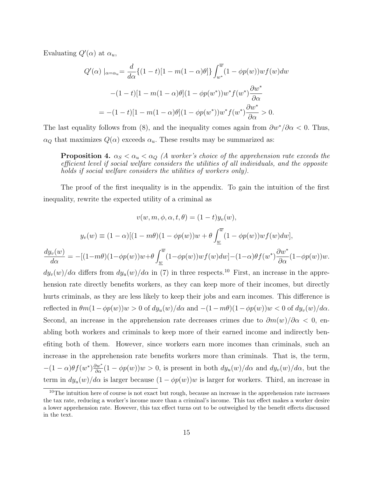Evaluating  $Q'(\alpha)$  at  $\alpha_u$ ,

$$
Q'(\alpha) \mid_{\alpha=\alpha_u} = \frac{d}{d\alpha} \{ (1-t)[1-m(1-\alpha)\theta] \} \int_{w^*}^{\overline{w}} (1-\phi p(w)) w f(w) dw
$$

$$
-(1-t)[1-m(1-\alpha)\theta](1-\phi p(w^*))w^* f(w^*) \frac{\partial w^*}{\partial \alpha}
$$

$$
= -(1-t)[1-m(1-\alpha)\theta](1-\phi p(w^*))w^* f(w^*) \frac{\partial w^*}{\partial \alpha} > 0.
$$

The last equality follows from (8), and the inequality comes again from  $\partial w^* / \partial \alpha < 0$ . Thus,  $\alpha_Q$  that maximizes  $Q(\alpha)$  exceeds  $\alpha_u$ . These results may be summarized as:

**Proposition 4.**  $\alpha_S < \alpha_u < \alpha_Q$  (A worker's choice of the apprehension rate exceeds the efficient level if social welfare considers the utilities of all individuals, and the opposite holds if social welfare considers the utilities of workers only).

The proof of the first inequality is in the appendix. To gain the intuition of the first inequality, rewrite the expected utility of a criminal as

$$
v(w, m, \phi, \alpha, t, \theta) = (1 - t)y_v(w),
$$

$$
y_v(w) \equiv (1 - \alpha)[(1 - m\theta)(1 - \phi p(w))w + \theta \int_w^{\overline{w}} (1 - \phi p(w))wf(w)dw],
$$

$$
\frac{dy_v(w)}{d\alpha} = -[(1 - m\theta)(1 - \phi p(w))w + \theta \int_w^{\overline{w}} (1 - \phi p(w))wf(w)dw] - (1 - \alpha)\theta f(w^*) \frac{\partial w^*}{\partial \alpha}(1 - \phi p(w))w.
$$

$$
dy_v(w)/d\alpha \text{ differs from } dy_u(w)/d\alpha \text{ in (7) in three respects.10 First, an increase in the apprechension rate directly benefits workers, as they can keep more of their incomes, but directlyhurts criminals, as they are less likely to keep their jobs and earn incomes. This difference is reflected in  $\theta m(1 - \phi p(w))w > 0$  of  $dy_u(w)/d\alpha$  and  $-(1 - m\theta)(1 - \phi p(w))w < 0$  of  $dy_v(w)/d\alpha$ . Second, an increase in the appreciation rate decreases crimes due to  $\partial m(w)/\partial \alpha < 0$ , en-  
abling both workers and criminals to keep more of their earned income and indirectly ben-  
effting both of them. However, since workers earn more incomes than criminals, such an increase in the appreciation rate benefits workers more than criminals. That is, the term,  $-(1 - \alpha)\theta f(w^*)\frac{\partial w^*}{\partial \alpha}(1 - \phi p(w))w > 0$ , is present in both  $dy_u(w)/d\alpha$  and  $dy_v(w)/d\alpha$ , but the term in  $dy_u(w)/d\alpha$  is larger because  $(1 - \phi p(w))w$  is larger for workers. Third, an increase in
$$

<sup>&</sup>lt;sup>10</sup>The intuition here of course is not exact but rough, because an increase in the apprehension rate increases the tax rate, reducing a worker's income more than a criminal's income. This tax effect makes a worker desire a lower apprehension rate. However, this tax effect turns out to be outweighed by the benefit effects discussed in the text.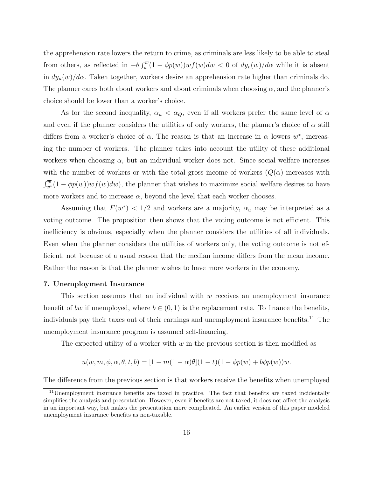the apprehension rate lowers the return to crime, as criminals are less likely to be able to steal from others, as reflected in  $-\theta \int_w^{\overline{w}} (1 - \phi p(w)) w f(w) dw < 0$  of  $dy_v(w)/d\alpha$  while it is absent in  $dy_u(w)/d\alpha$ . Taken together, workers desire an apprehension rate higher than criminals do. The planner cares both about workers and about criminals when choosing  $\alpha$ , and the planner's choice should be lower than a worker's choice.

As for the second inequality,  $\alpha_u < \alpha_Q$ , even if all workers prefer the same level of  $\alpha$ and even if the planner considers the utilities of only workers, the planner's choice of  $\alpha$  still differs from a worker's choice of  $\alpha$ . The reason is that an increase in  $\alpha$  lowers  $w^*$ , increasing the number of workers. The planner takes into account the utility of these additional workers when choosing  $\alpha$ , but an individual worker does not. Since social welfare increases with the number of workers or with the total gross income of workers  $(Q(\alpha))$  increases with  $\int_{w^*}^{\overline{w}} (1 - \phi p(w)) w f(w) dw$ , the planner that wishes to maximize social welfare desires to have more workers and to increase  $\alpha$ , beyond the level that each worker chooses.

Assuming that  $F(w^*)$  < 1/2 and workers are a majority,  $\alpha_u$  may be interpreted as a voting outcome. The proposition then shows that the voting outcome is not efficient. This inefficiency is obvious, especially when the planner considers the utilities of all individuals. Even when the planner considers the utilities of workers only, the voting outcome is not efficient, not because of a usual reason that the median income differs from the mean income. Rather the reason is that the planner wishes to have more workers in the economy.

#### 7. Unemployment Insurance

This section assumes that an individual with  $w$  receives an unemployment insurance benefit of bw if unemployed, where  $b \in (0,1)$  is the replacement rate. To finance the benefits, individuals pay their taxes out of their earnings and unemployment insurance benefits.<sup>11</sup> The unemployment insurance program is assumed self-financing.

The expected utility of a worker with  $w$  in the previous section is then modified as

$$
u(w, m, \phi, \alpha, \theta, t, b) = [1 - m(1 - \alpha)\theta](1 - t)(1 - \phi p(w) + b\phi p(w))w.
$$

The difference from the previous section is that workers receive the benefits when unemployed

<sup>&</sup>lt;sup>11</sup>Unemployment insurance benefits are taxed in practice. The fact that benefits are taxed incidentally simplifies the analysis and presentation. However, even if benefits are not taxed, it does not affect the analysis in an important way, but makes the presentation more complicated. An earlier version of this paper modeled unemployment insurance benefits as non-taxable.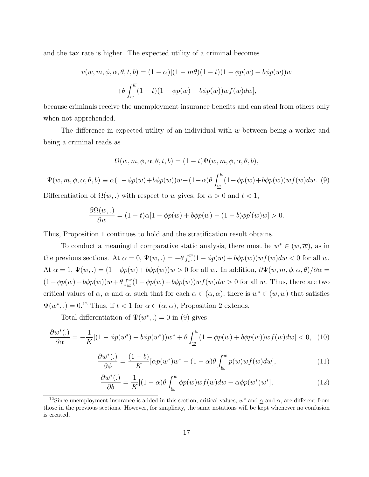and the tax rate is higher. The expected utility of a criminal becomes

$$
v(w, m, \phi, \alpha, \theta, t, b) = (1 - \alpha)[(1 - m\theta)(1 - t)(1 - \phi p(w) + b\phi p(w))w
$$

$$
+ \theta \int_{\underline{w}}^{\overline{w}} (1 - t)(1 - \phi p(w) + b\phi p(w))wf(w)dw],
$$

because criminals receive the unemployment insurance benefits and can steal from others only when not apprehended.

The difference in expected utility of an individual with w between being a worker and being a criminal reads as

$$
\Omega(w,m,\phi,\alpha,\theta,t,b)=(1-t)\Psi(w,m,\phi,\alpha,\theta,b),
$$

 $\Psi(w, m, \phi, \alpha, \theta, b) \equiv \alpha(1 - \phi p(w) + b\phi p(w))w - (1 - \alpha)\theta \int_{-\infty}^{\overline{w}}$  $\int_{w} (1 - \phi p(w) + b\phi p(w))wf(w)dw.$  (9)

Differentiation of  $\Omega(w,.)$  with respect to w gives, for  $\alpha > 0$  and  $t < 1$ ,

$$
\frac{\partial \Omega(w, .)}{\partial w} = (1 - t)\alpha[1 - \phi p(w) + b\phi p(w) - (1 - b)\phi p'(w)w] > 0.
$$

Thus, Proposition 1 continues to hold and the stratification result obtains.

To conduct a meaningful comparative static analysis, there must be  $w^* \in (\underline{w}, \overline{w})$ , as in the previous sections. At  $\alpha = 0$ ,  $\Psi(w,.) = -\theta \int_w^{\overline{w}} (1 - \phi p(w) + b \phi p(w)) w f(w) dw < 0$  for all w. At  $\alpha = 1$ ,  $\Psi(w,.) = (1 - \phi p(w) + b\phi p(w))w > 0$  for all w. In addition,  $\partial \Psi(w, m, \phi, \alpha, \theta)/\partial \alpha =$  $(1 - \phi p(w) + b\phi p(w))w + \theta \int_w^{\overline{w}} (1 - \phi p(w) + b\phi p(w))w f(w)dw > 0$  for all w. Thus, there are two critical values of  $\alpha$ ,  $\alpha$  and  $\overline{\alpha}$ , such that for each  $\alpha \in (\alpha, \overline{\alpha})$ , there is  $w^* \in (\underline{w}, \overline{w})$  that satisfies  $\Psi(w^*,.) = 0.^{12}$  Thus, if  $t < 1$  for  $\alpha \in (\underline{\alpha}, \overline{\alpha})$ , Proposition 2 extends.

Total differentiation of  $\Psi(w^*,.)=0$  in (9) gives

$$
\frac{\partial w^*(.)}{\partial \alpha} = -\frac{1}{K} [(1 - \phi p(w^*) + b\phi p(w^*))w^* + \theta \int_{\underline{w}}^{\overline{w}} (1 - \phi p(w) + b\phi p(w))w f(w) dw] < 0, \tag{10}
$$

$$
\frac{\partial w^*(.)}{\partial \phi} = \frac{(1-b)}{K} [\alpha p(w^*) w^* - (1-\alpha)\theta \int_{\underline{w}}^{\overline{w}} p(w) w f(w) dw],\tag{11}
$$

$$
\frac{\partial w^*(.)}{\partial b} = \frac{1}{K} [(1 - \alpha)\theta \int_{\underline{w}}^{\overline{w}} \phi p(w) w f(w) dw - \alpha \phi p(w^*) w^*],\tag{12}
$$

<sup>&</sup>lt;sup>12</sup>Since unemployment insurance is added in this section, critical values,  $w^*$  and  $\alpha$  and  $\overline{\alpha}$ , are different from those in the previous sections. However, for simplicity, the same notations will be kept whenever no confusion is created.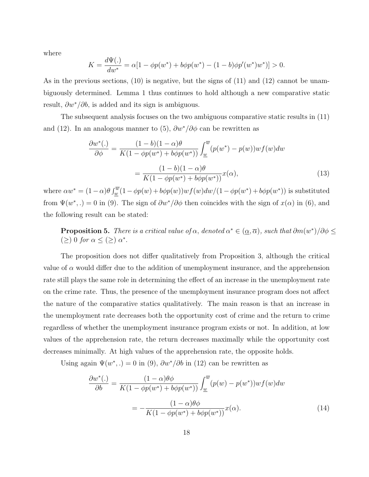where

$$
K = \frac{d\Psi(.)}{dw^*} = \alpha[1 - \phi p(w^*) + b\phi p(w^*) - (1 - b)\phi p'(w^*)w^*)] > 0.
$$

As in the previous sections, (10) is negative, but the signs of (11) and (12) cannot be unambiguously determined. Lemma 1 thus continues to hold although a new comparative static result,  $\partial w^*/\partial b$ , is added and its sign is ambiguous.

The subsequent analysis focuses on the two ambiguous comparative static results in (11) and (12). In an analogous manner to (5),  $\partial w^*/\partial \phi$  can be rewritten as

$$
\frac{\partial w^*(.)}{\partial \phi} = \frac{(1-b)(1-\alpha)\theta}{K(1-\phi p(w^*)+b\phi p(w^*))} \int_{\underline{w}}^{\overline{w}} (p(w^*)-p(w))wf(w)dw
$$

$$
= \frac{(1-b)(1-\alpha)\theta}{K(1-\phi p(w^*)+b\phi p(w^*))}x(\alpha), \tag{13}
$$

where  $\alpha w^* = (1 - \alpha) \theta \int_w^{\overline{w}} (1 - \phi p(w) + b \phi p(w)) w f(w) dw / (1 - \phi p(w^*) + b \phi p(w^*))$  is substituted from  $\Psi(w^*,.) = 0$  in (9). The sign of  $\partial w^*/\partial \phi$  then coincides with the sign of  $x(\alpha)$  in (6), and the following result can be stated:

**Proposition 5.** There is a critical value of  $\alpha$ , denoted  $\alpha^* \in (\underline{\alpha}, \overline{\alpha})$ , such that  $\partial m(w^*)/\partial \phi \leq$  $(\geq)$  0 for  $\alpha \leq (\geq)$   $\alpha^*$ .

The proposition does not differ qualitatively from Proposition 3, although the critical value of  $\alpha$  would differ due to the addition of unemployment insurance, and the apprehension rate still plays the same role in determining the effect of an increase in the unemployment rate on the crime rate. Thus, the presence of the unemployment insurance program does not affect the nature of the comparative statics qualitatively. The main reason is that an increase in the unemployment rate decreases both the opportunity cost of crime and the return to crime regardless of whether the unemployment insurance program exists or not. In addition, at low values of the apprehension rate, the return decreases maximally while the opportunity cost decreases minimally. At high values of the apprehension rate, the opposite holds.

Using again  $\Psi(w^*,.) = 0$  in (9),  $\partial w^*/\partial b$  in (12) can be rewritten as

$$
\frac{\partial w^*(.)}{\partial b} = \frac{(1 - \alpha)\theta\phi}{K(1 - \phi p(w^*) + b\phi p(w^*))} \int_{\underline{w}}^{\overline{w}} (p(w) - p(w^*)) w f(w) dw
$$

$$
= -\frac{(1 - \alpha)\theta\phi}{K(1 - \phi p(w^*) + b\phi p(w^*))} x(\alpha).
$$
(14)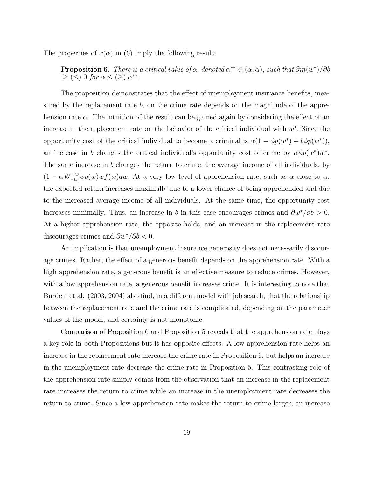The properties of  $x(\alpha)$  in (6) imply the following result:

## **Proposition 6.** There is a critical value of  $\alpha$ , denoted  $\alpha^{**} \in (\underline{\alpha}, \overline{\alpha})$ , such that  $\partial m(w^*)/\partial b$  $\geq (\leq) 0$  for  $\alpha \leq (\geq) \alpha^{**}.$

The proposition demonstrates that the effect of unemployment insurance benefits, measured by the replacement rate  $b$ , on the crime rate depends on the magnitude of the apprehension rate  $\alpha$ . The intuition of the result can be gained again by considering the effect of an increase in the replacement rate on the behavior of the critical individual with  $w^*$ . Since the opportunity cost of the critical individual to become a criminal is  $\alpha(1 - \phi p(w^*) + b\phi p(w^*)),$ an increase in b changes the critical individual's opportunity cost of crime by  $\alpha \phi p(w^*)w^*$ . The same increase in b changes the return to crime, the average income of all individuals, by  $(1-\alpha)\theta \int_{\underline{w}}^{\overline{w}} \phi p(w)wf(w)dw$ . At a very low level of apprehension rate, such as  $\alpha$  close to  $\underline{\alpha}$ , the expected return increases maximally due to a lower chance of being apprehended and due to the increased average income of all individuals. At the same time, the opportunity cost increases minimally. Thus, an increase in b in this case encourages crimes and  $\partial w^*/\partial b > 0$ . At a higher apprehension rate, the opposite holds, and an increase in the replacement rate discourages crimes and  $\partial w^*/\partial b < 0$ .

An implication is that unemployment insurance generosity does not necessarily discourage crimes. Rather, the effect of a generous benefit depends on the apprehension rate. With a high apprehension rate, a generous benefit is an effective measure to reduce crimes. However, with a low apprehension rate, a generous benefit increases crime. It is interesting to note that Burdett et al. (2003, 2004) also find, in a different model with job search, that the relationship between the replacement rate and the crime rate is complicated, depending on the parameter values of the model, and certainly is not monotonic.

Comparison of Proposition 6 and Proposition 5 reveals that the apprehension rate plays a key role in both Propositions but it has opposite effects. A low apprehension rate helps an increase in the replacement rate increase the crime rate in Proposition 6, but helps an increase in the unemployment rate decrease the crime rate in Proposition 5. This contrasting role of the apprehension rate simply comes from the observation that an increase in the replacement rate increases the return to crime while an increase in the unemployment rate decreases the return to crime. Since a low apprehension rate makes the return to crime larger, an increase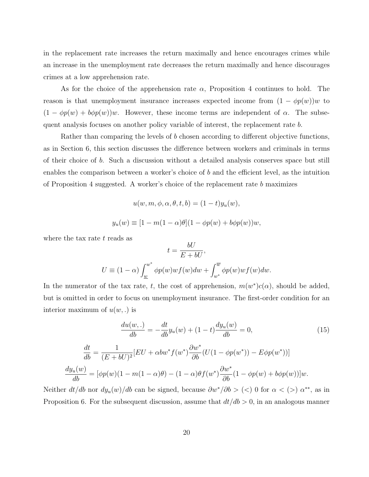in the replacement rate increases the return maximally and hence encourages crimes while an increase in the unemployment rate decreases the return maximally and hence discourages crimes at a low apprehension rate.

As for the choice of the apprehension rate  $\alpha$ , Proposition 4 continues to hold. The reason is that unemployment insurance increases expected income from  $(1 - \phi p(w))w$  to  $(1 - \phi p(w) + b\phi p(w))w$ . However, these income terms are independent of  $\alpha$ . The subsequent analysis focuses on another policy variable of interest, the replacement rate b.

Rather than comparing the levels of b chosen according to different objective functions, as in Section 6, this section discusses the difference between workers and criminals in terms of their choice of b. Such a discussion without a detailed analysis conserves space but still enables the comparison between a worker's choice of b and the efficient level, as the intuition of Proposition 4 suggested. A worker's choice of the replacement rate  $b$  maximizes

$$
u(w, m, \phi, \alpha, \theta, t, b) = (1 - t)y_u(w),
$$
  

$$
y_u(w) \equiv [1 - m(1 - \alpha)\theta](1 - \phi p(w) + b\phi p(w))w,
$$

where the tax rate  $t$  reads as

$$
t = \frac{bU}{E + bU},
$$
  

$$
U \equiv (1 - \alpha) \int_{\underline{w}}^{w^*} \phi p(w) w f(w) dw + \int_{w^*}^{\overline{w}} \phi p(w) w f(w) dw.
$$

 $\ddot{\phantom{0}}$ 

In the numerator of the tax rate, t, the cost of apprehension,  $m(w^*)c(\alpha)$ , should be added, but is omitted in order to focus on unemployment insurance. The first-order condition for an interior maximum of  $u(w,.)$  is

$$
\frac{du(w,.)}{db} = -\frac{dt}{db}y_u(w) + (1-t)\frac{dy_u(w)}{db} = 0,
$$
\n(15)

$$
\frac{dt}{db} = \frac{1}{(E + bU)^2} [EU + \alpha bw^* f(w^*) \frac{\partial w^*}{\partial b} (U(1 - \phi p(w^*)) - E\phi p(w^*))]
$$

$$
\frac{dy_u(w)}{db} = [\phi p(w)(1 - m(1 - \alpha)\theta) - (1 - \alpha)\theta f(w^*) \frac{\partial w^*}{\partial b} (1 - \phi p(w) + b\phi p(w))]w.
$$

Neither  $dt/db$  nor  $dy_u(w)/db$  can be signed, because  $\partial w^*/\partial b > (<$ ) 0 for  $\alpha < (>)$   $\alpha^{**}$ , as in Proposition 6. For the subsequent discussion, assume that  $dt/db > 0$ , in an analogous manner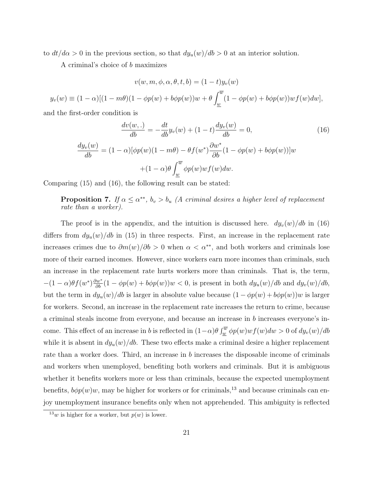to  $dt/d\alpha > 0$  in the previous section, so that  $dy_u(w)/db > 0$  at an interior solution.

A criminal's choice of b maximizes

$$
v(w, m, \phi, \alpha, \theta, t, b) = (1 - t)y_v(w)
$$

$$
y_v(w) \equiv (1 - \alpha)[(1 - m\theta)(1 - \phi p(w) + b\phi p(w))w + \theta \int_{\underline{w}}^{\overline{w}} (1 - \phi p(w) + b\phi p(w))w f(w)dw],
$$

and the first-order condition is

$$
\frac{dv(w,.)}{db} = -\frac{dt}{db}y_v(w) + (1-t)\frac{dy_v(w)}{db} = 0,
$$
\n
$$
\frac{dy_v(w)}{db} = (1-\alpha)[\phi p(w)(1-m\theta) - \theta f(w^*)\frac{\partial w^*}{\partial b}(1-\phi p(w) + b\phi p(w))]w + (1-\alpha)\theta \int_{\underline{w}}^{\overline{w}} \phi p(w)wf(w)dw.
$$
\n(16)

Comparing (15) and (16), the following result can be stated:

**Proposition 7.** If  $\alpha \leq \alpha^{**}$ ,  $b_v > b_u$  (A criminal desires a higher level of replacement rate than a worker).

The proof is in the appendix, and the intuition is discussed here.  $dy_v(w)/db$  in (16) differs from  $dy_u(w)/db$  in (15) in three respects. First, an increase in the replacement rate increases crimes due to  $\partial m(w)/\partial b > 0$  when  $\alpha < \alpha^{**}$ , and both workers and criminals lose more of their earned incomes. However, since workers earn more incomes than criminals, such an increase in the replacement rate hurts workers more than criminals. That is, the term,  $-(1-\alpha)\theta f(w^*)\frac{\partial w^*}{\partial b}(1-\phi p(w)+b\phi p(w))w < 0$ , is present in both  $dy_u(w)/db$  and  $dy_v(w)/db$ , but the term in  $dy_u(w)/db$  is larger in absolute value because  $(1 - \phi p(w) + b\phi p(w))w$  is larger for workers. Second, an increase in the replacement rate increases the return to crime, because a criminal steals income from everyone, and because an increase in b increases everyone's income. This effect of an increase in b is reflected in  $(1-\alpha)\theta \int_{w}^{\overline{w}} \phi p(w)wf(w)dw > 0$  of  $dy_v(w)/db$ while it is absent in  $dy_u(w)/db$ . These two effects make a criminal desire a higher replacement rate than a worker does. Third, an increase in b increases the disposable income of criminals and workers when unemployed, benefiting both workers and criminals. But it is ambiguous whether it benefits workers more or less than criminals, because the expected unemployment benefits,  $b\phi p(w)w$ , may be higher for workers or for criminals,<sup>13</sup> and because criminals can enjoy unemployment insurance benefits only when not apprehended. This ambiguity is reflected

<sup>&</sup>lt;sup>13</sup>w is higher for a worker, but  $p(w)$  is lower.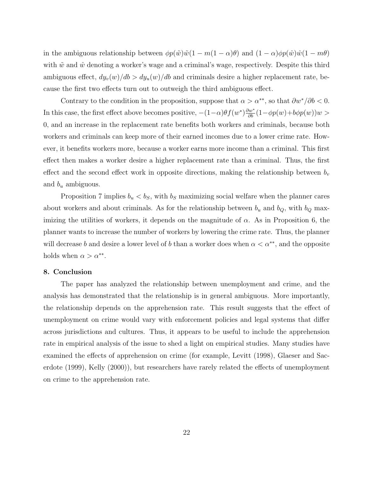in the ambiguous relationship between  $\phi p(\tilde w)\tilde w(1 - m(1 - \alpha)\theta)$  and  $(1 - \alpha)\phi p(\hat w)\hat w(1 - m\theta)$ with  $\tilde{w}$  and  $\hat{w}$  denoting a worker's wage and a criminal's wage, respectively. Despite this third ambiguous effect,  $dy_v(w)/db > dy_u(w)/db$  and criminals desire a higher replacement rate, because the first two effects turn out to outweigh the third ambiguous effect.

Contrary to the condition in the proposition, suppose that  $\alpha > \alpha^{**}$ , so that  $\partial w^* / \partial b < 0$ . In this case, the first effect above becomes positive,  $-(1-\alpha)\theta f(w^*)\frac{\partial w^*}{\partial b}(1-\phi p(w)+b\phi p(w))w >$ 0, and an increase in the replacement rate benefits both workers and criminals, because both workers and criminals can keep more of their earned incomes due to a lower crime rate. However, it benefits workers more, because a worker earns more income than a criminal. This first effect then makes a worker desire a higher replacement rate than a criminal. Thus, the first effect and the second effect work in opposite directions, making the relationship between  $b_v$ and  $b_u$  ambiguous.

Proposition 7 implies  $b_u < b_S$ , with  $b_S$  maximizing social welfare when the planner cares about workers and about criminals. As for the relationship between  $b_u$  and  $b_Q$ , with  $b_Q$  maximizing the utilities of workers, it depends on the magnitude of  $\alpha$ . As in Proposition 6, the planner wants to increase the number of workers by lowering the crime rate. Thus, the planner will decrease b and desire a lower level of b than a worker does when  $\alpha < \alpha^{**}$ , and the opposite holds when  $\alpha > \alpha^{**}$ .

## 8. Conclusion

The paper has analyzed the relationship between unemployment and crime, and the analysis has demonstrated that the relationship is in general ambiguous. More importantly, the relationship depends on the apprehension rate. This result suggests that the effect of unemployment on crime would vary with enforcement policies and legal systems that differ across jurisdictions and cultures. Thus, it appears to be useful to include the apprehension rate in empirical analysis of the issue to shed a light on empirical studies. Many studies have examined the effects of apprehension on crime (for example, Levitt (1998), Glaeser and Sacerdote (1999), Kelly (2000)), but researchers have rarely related the effects of unemployment on crime to the apprehension rate.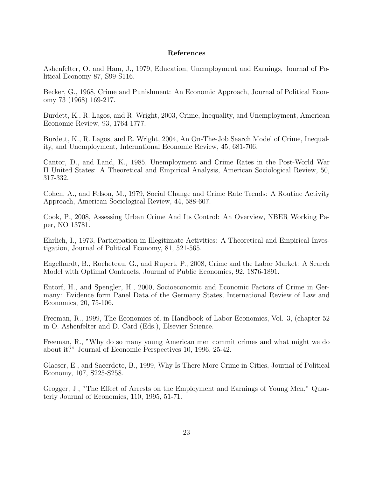## References

Ashenfelter, O. and Ham, J., 1979, Education, Unemployment and Earnings, Journal of Political Economy 87, S99-S116.

Becker, G., 1968, Crime and Punishment: An Economic Approach, Journal of Political Economy 73 (1968) 169-217.

Burdett, K., R. Lagos, and R. Wright, 2003, Crime, Inequality, and Unemployment, American Economic Review, 93, 1764-1777.

Burdett, K., R. Lagos, and R. Wright, 2004, An On-The-Job Search Model of Crime, Inequality, and Unemployment, International Economic Review, 45, 681-706.

Cantor, D., and Land, K., 1985, Unemployment and Crime Rates in the Post-World War II United States: A Theoretical and Empirical Analysis, American Sociological Review, 50, 317-332.

Cohen, A., and Felson, M., 1979, Social Change and Crime Rate Trends: A Routine Activity Approach, American Sociological Review, 44, 588-607.

Cook, P., 2008, Assessing Urban Crime And Its Control: An Overview, NBER Working Paper, NO 13781.

Ehrlich, I., 1973, Participation in Illegitimate Activities: A Theoretical and Empirical Investigation, Journal of Political Economy, 81, 521-565.

Engelhardt, B., Rocheteau, G., and Rupert, P., 2008, Crime and the Labor Market: A Search Model with Optimal Contracts, Journal of Public Economics, 92, 1876-1891.

Entorf, H., and Spengler, H., 2000, Socioeconomic and Economic Factors of Crime in Germany: Evidence form Panel Data of the Germany States, International Review of Law and Economics, 20, 75-106.

Freeman, R., 1999, The Economics of, in Handbook of Labor Economics, Vol. 3, (chapter 52 in O. Ashenfelter and D. Card (Eds.), Elsevier Science.

Freeman, R., "Why do so many young American men commit crimes and what might we do about it?" Journal of Economic Perspectives 10, 1996, 25-42.

Glaeser, E., and Sacerdote, B., 1999, Why Is There More Crime in Cities, Journal of Political Economy, 107, S225-S258.

Grogger, J., "The Effect of Arrests on the Employment and Earnings of Young Men," Quarterly Journal of Economics, 110, 1995, 51-71.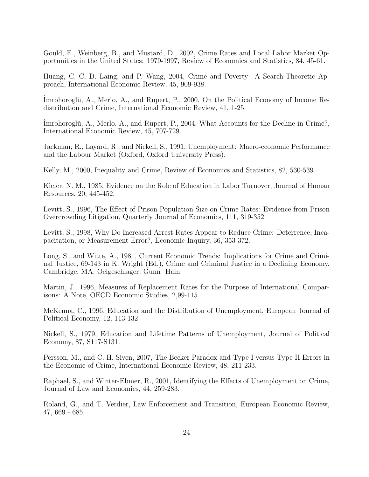Gould, E., Weinberg, B., and Mustard, D., 2002, Crime Rates and Local Labor Market Opportunities in the United States: 1979-1997, Review of Economics and Statistics, 84, 45-61.

Huang, C. C, D. Laing, and P. Wang, 2004, Crime and Poverty: A Search-Theoretic Approach, International Economic Review, 45, 909-938.

Imrohoroglu, A., Merlo, A., and Rupert, P., 2000, On the Political Economy of Income Redistribution and Crime, International Economic Review, 41, 1-25.

Imrohoroglu<sup>i</sup>, A., Merlo, A., and Rupert, P., 2004, What Accounts for the Decline in Crime?, International Economic Review, 45, 707-729.

Jackman, R., Layard, R., and Nickell, S., 1991, Unemployment: Macro-economic Performance and the Labour Market (Oxford, Oxford University Press).

Kelly, M., 2000, Inequality and Crime, Review of Economics and Statistics, 82, 530-539.

Kiefer, N. M., 1985, Evidence on the Role of Education in Labor Turnover, Journal of Human Resources, 20, 445-452.

Levitt, S., 1996, The Effect of Prison Population Size on Crime Rates: Evidence from Prison Overcrowding Litigation, Quarterly Journal of Economics, 111, 319-352

Levitt, S., 1998, Why Do Increased Arrest Rates Appear to Reduce Crime: Deterrence, Incapacitation, or Measurement Error?, Economic Inquiry, 36, 353-372.

Long, S., and Witte, A., 1981, Current Economic Trends: Implications for Crime and Criminal Justice, 69-143 in K. Wright (Ed.), Crime and Criminal Justice in a Declining Economy. Cambridge, MA: Oelgeschlager, Gunn Hain.

Martin, J., 1996, Measures of Replacement Rates for the Purpose of International Comparisons: A Note, OECD Economic Studies, 2,99-115.

McKenna, C., 1996, Education and the Distribution of Unemployment, European Journal of Political Economy, 12, 113-132.

Nickell, S., 1979, Education and Lifetime Patterns of Unemployment, Journal of Political Economy, 87, S117-S131.

Persson, M., and C. H. Siven, 2007, The Becker Paradox and Type I versus Type II Errors in the Economic of Crime, International Economic Review, 48, 211-233.

Raphael, S., and Winter-Ebmer, R., 2001, Identifying the Effects of Unemployment on Crime, Journal of Law and Economics, 44, 259-283.

Roland, G., and T. Verdier, Law Enforcement and Transition, European Economic Review, 47, 669 - 685.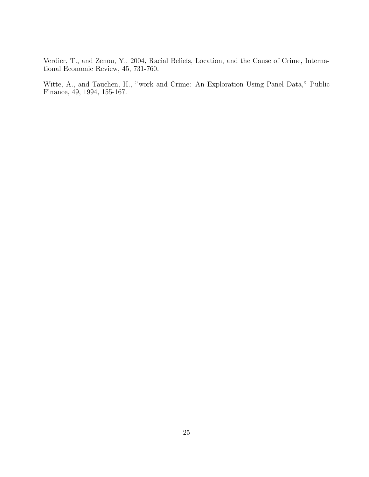Verdier, T., and Zenou, Y., 2004, Racial Beliefs, Location, and the Cause of Crime, International Economic Review, 45, 731-760.

Witte, A., and Tauchen, H., "work and Crime: An Exploration Using Panel Data," Public Finance, 49, 1994, 155-167.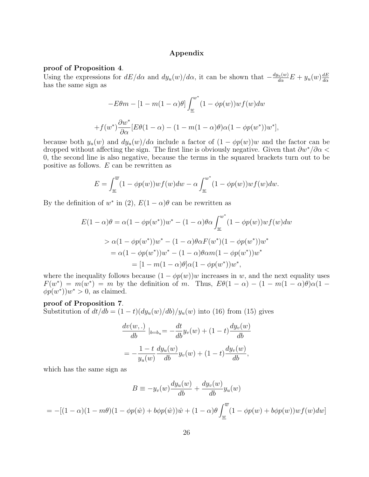## Appendix

#### proof of Proposition 4.

Using the expressions for  $dE/d\alpha$  and  $dy_u(w)/d\alpha$ , it can be shown that  $-\frac{dy_u(w)}{d\alpha}E + y_u(w)\frac{dE}{d\alpha}$ dα has the same sign as

$$
-E\theta m - [1 - m(1 - \alpha)\theta] \int_{\underline{w}}^{w^*} (1 - \phi p(w)) w f(w) dw
$$

$$
+ f(w^*) \frac{\partial w^*}{\partial \alpha} [E\theta(1 - \alpha) - (1 - m(1 - \alpha)\theta)\alpha(1 - \phi p(w^*))w^*],
$$

because both  $y_u(w)$  and  $dy_u(w)/d\alpha$  include a factor of  $(1 - \phi p(w))w$  and the factor can be dropped without affecting the sign. The first line is obviously negative. Given that  $\partial w^*/\partial \alpha$ 0, the second line is also negative, because the terms in the squared brackets turn out to be positive as follows. E can be rewritten as

$$
E = \int_{\underline{w}}^{\overline{w}} (1 - \phi p(w)) w f(w) dw - \alpha \int_{\underline{w}}^{w^*} (1 - \phi p(w)) w f(w) dw.
$$

By the definition of w<sup>\*</sup> in (2),  $E(1-\alpha)\theta$  can be rewritten as

$$
E(1 - \alpha)\theta = \alpha(1 - \phi p(w^*))w^* - (1 - \alpha)\theta\alpha \int_{\underline{w}}^{w^*} (1 - \phi p(w))w f(w)dw
$$
  
>  $\alpha(1 - \phi p(w^*))w^* - (1 - \alpha)\theta\alpha F(w^*)(1 - \phi p(w^*))w^*$   
=  $\alpha(1 - \phi p(w^*))w^* - (1 - \alpha)\theta\alpha m(1 - \phi p(w^*))w^*$   
=  $[1 - m(1 - \alpha)\theta]\alpha(1 - \phi p(w^*))w^*,$ 

where the inequality follows because  $(1 - \phi p(w))w$  increases in w, and the next equality uses  $F(w^*) = m(w^*) = m$  by the definition of m. Thus,  $E\theta(1-\alpha) - (1-m(1-\alpha)\theta)\alpha(1-\alpha)$  $\phi p(w^*))w^* > 0$ , as claimed.

## proof of Proposition 7.

Substitution of  $dt/db = (1-t)(dy_u(w)/db)/y_u(w)$  into (16) from (15) gives

$$
\frac{dv(w,.)}{db}|_{b=b_u} = -\frac{dt}{db}y_v(w) + (1-t)\frac{dy_v(w)}{db}
$$

$$
= -\frac{1-t}{y_u(w)}\frac{dy_u(w)}{db}y_v(w) + (1-t)\frac{dy_v(w)}{db},
$$

which has the same sign as

$$
B = -y_v(w)\frac{dy_u(w)}{db} + \frac{dy_v(w)}{db}y_u(w)
$$

$$
= -[(1-\alpha)(1-m\theta)(1-\phi p(\hat{w})+b\phi p(\hat{w}))\hat{w} + (1-\alpha)\theta \int_{\underline{w}}^{\overline{w}} (1-\phi p(w)+b\phi p(w))wf(w)dw]
$$